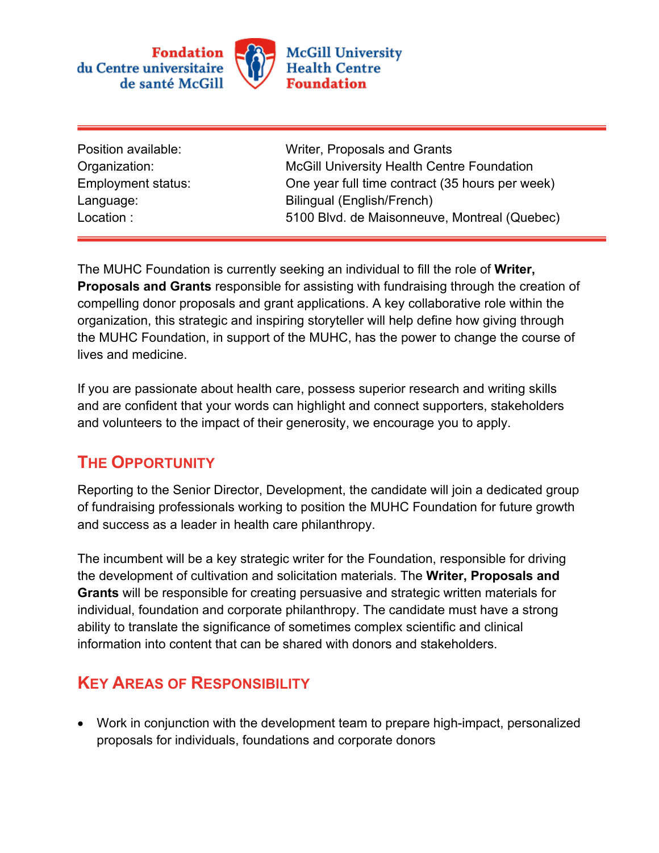

| Position available: |
|---------------------|
| Organization:       |
| Employment status:  |
| Language:           |
| Location:           |

Writer, Proposals and Grants McGill University Health Centre Foundation One year full time contract (35 hours per week) Bilingual (English/French) 5100 Blvd. de Maisonneuve, Montreal (Quebec)

The MUHC Foundation is currently seeking an individual to fill the role of **Writer, Proposals and Grants** responsible for assisting with fundraising through the creation of compelling donor proposals and grant applications. A key collaborative role within the organization, this strategic and inspiring storyteller will help define how giving through the MUHC Foundation, in support of the MUHC, has the power to change the course of lives and medicine.

If you are passionate about health care, possess superior research and writing skills and are confident that your words can highlight and connect supporters, stakeholders and volunteers to the impact of their generosity, we encourage you to apply.

## **THE OPPORTUNITY**

Reporting to the Senior Director, Development, the candidate will join a dedicated group of fundraising professionals working to position the MUHC Foundation for future growth and success as a leader in health care philanthropy.

The incumbent will be a key strategic writer for the Foundation, responsible for driving the development of cultivation and solicitation materials. The **Writer, Proposals and Grants** will be responsible for creating persuasive and strategic written materials for individual, foundation and corporate philanthropy. The candidate must have a strong ability to translate the significance of sometimes complex scientific and clinical information into content that can be shared with donors and stakeholders.

## **KEY AREAS OF RESPONSIBILITY**

• Work in conjunction with the development team to prepare high-impact, personalized proposals for individuals, foundations and corporate donors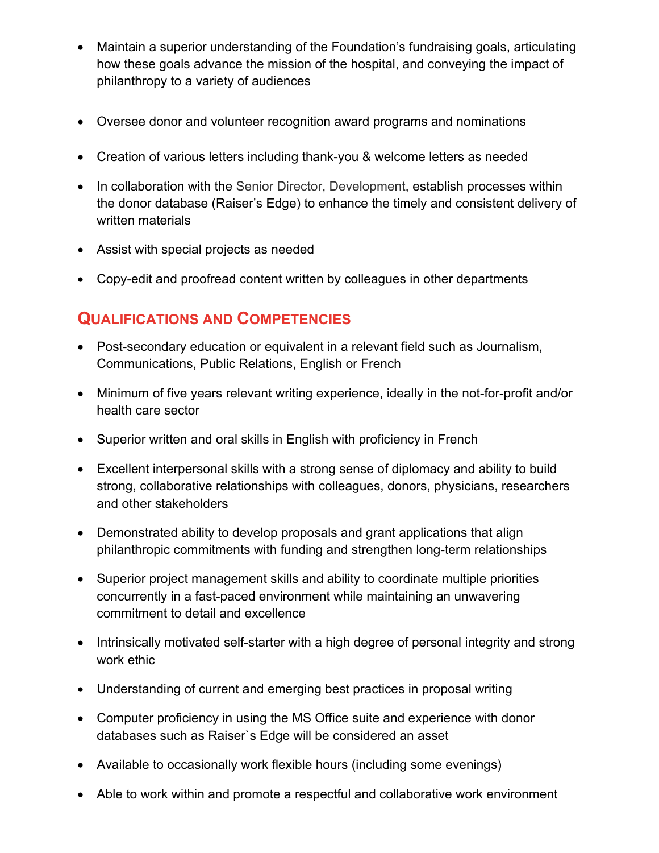- Maintain a superior understanding of the Foundation's fundraising goals, articulating how these goals advance the mission of the hospital, and conveying the impact of philanthropy to a variety of audiences
- Oversee donor and volunteer recognition award programs and nominations
- Creation of various letters including thank-you & welcome letters as needed
- In collaboration with the Senior Director, Development, establish processes within the donor database (Raiser's Edge) to enhance the timely and consistent delivery of written materials
- Assist with special projects as needed
- Copy-edit and proofread content written by colleagues in other departments

## **QUALIFICATIONS AND COMPETENCIES**

- Post-secondary education or equivalent in a relevant field such as Journalism, Communications, Public Relations, English or French
- Minimum of five years relevant writing experience, ideally in the not-for-profit and/or health care sector
- Superior written and oral skills in English with proficiency in French
- Excellent interpersonal skills with a strong sense of diplomacy and ability to build strong, collaborative relationships with colleagues, donors, physicians, researchers and other stakeholders
- Demonstrated ability to develop proposals and grant applications that align philanthropic commitments with funding and strengthen long-term relationships
- Superior project management skills and ability to coordinate multiple priorities concurrently in a fast-paced environment while maintaining an unwavering commitment to detail and excellence
- Intrinsically motivated self-starter with a high degree of personal integrity and strong work ethic
- Understanding of current and emerging best practices in proposal writing
- Computer proficiency in using the MS Office suite and experience with donor databases such as Raiser`s Edge will be considered an asset
- Available to occasionally work flexible hours (including some evenings)
- Able to work within and promote a respectful and collaborative work environment